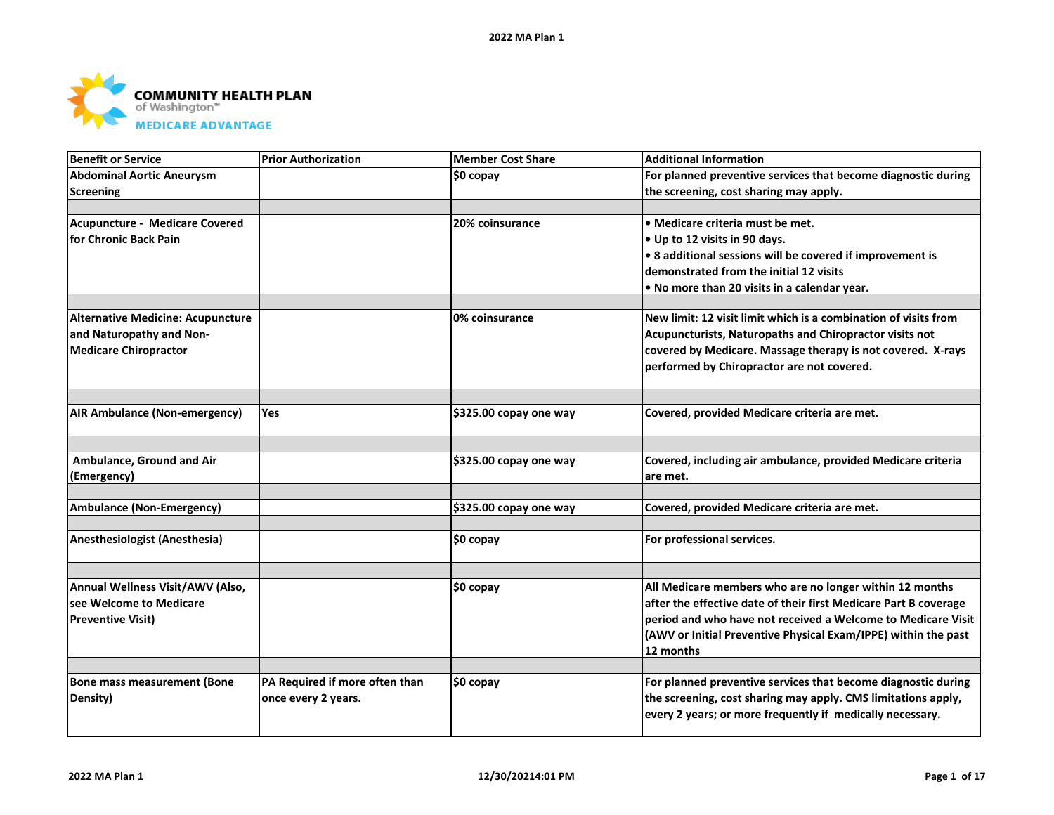

| <b>Benefit or Service</b>            | <b>Prior Authorization</b>     | Member Cost Share      | <b>Additional Information</b>                                    |
|--------------------------------------|--------------------------------|------------------------|------------------------------------------------------------------|
| <b>Abdominal Aortic Aneurysm</b>     |                                | $$0$ copay             | For planned preventive services that become diagnostic during    |
| Screening                            |                                |                        | the screening, cost sharing may apply.                           |
|                                      |                                |                        |                                                                  |
| Acupuncture - Medicare Covered       |                                | 20% coinsurance        | $\bullet$ Medicare criteria must be met.                         |
| for Chronic Back Pain                |                                |                        | $\bullet$ Up to 12 visits in 90 days.                            |
|                                      |                                |                        | $\cdot$ 8 additional sessions will be covered if improvement is  |
|                                      |                                |                        | demonstrated from the initial 12 visits                          |
|                                      |                                |                        | . No more than 20 visits in a calendar year.                     |
|                                      |                                |                        |                                                                  |
| Alternative Medicine: Acupuncture    |                                | 0% coinsurance         | New limit: 12 visit limit which is a combination of visits from  |
| and Naturopathy and Non-             |                                |                        | Acupuncturists, Naturopaths and Chiropractor visits not          |
| <b>Medicare Chiropractor</b>         |                                |                        | covered by Medicare. Massage therapy is not covered. X-rays      |
|                                      |                                |                        | performed by Chiropractor are not covered.                       |
|                                      |                                |                        |                                                                  |
|                                      |                                |                        |                                                                  |
| <b>AIR Ambulance (Non-emergency)</b> | Yes                            | \$325.00 copay one way | Covered, provided Medicare criteria are met.                     |
|                                      |                                |                        |                                                                  |
|                                      |                                |                        |                                                                  |
| Ambulance, Ground and Air            |                                | \$325.00 copay one way | Covered, including air ambulance, provided Medicare criteria     |
| (Emergency)                          |                                |                        | lare met.                                                        |
|                                      |                                |                        |                                                                  |
| <b>Ambulance (Non-Emergency)</b>     |                                | \$325.00 copay one way | Covered, provided Medicare criteria are met.                     |
|                                      |                                |                        |                                                                  |
| Anesthesiologist (Anesthesia)        |                                | \$0 copay              | For professional services.                                       |
|                                      |                                |                        |                                                                  |
|                                      |                                |                        |                                                                  |
| Annual Wellness Visit/AWV (Also,     |                                | ∣\$0 copay             | All Medicare members who are no longer within 12 months          |
| see Welcome to Medicare              |                                |                        | after the effective date of their first Medicare Part B coverage |
| <b>Preventive Visit)</b>             |                                |                        | period and who have not received a Welcome to Medicare Visit     |
|                                      |                                |                        | (AWV or Initial Preventive Physical Exam/IPPE) within the past   |
|                                      |                                |                        | 12 months                                                        |
|                                      |                                |                        |                                                                  |
| Bone mass measurement (Bone          | PA Required if more often than | \$0 copay              | For planned preventive services that become diagnostic during    |
| Density)                             | once every 2 years.            |                        | the screening, cost sharing may apply. CMS limitations apply,    |
|                                      |                                |                        | every 2 years; or more frequently if medically necessary.        |
|                                      |                                |                        |                                                                  |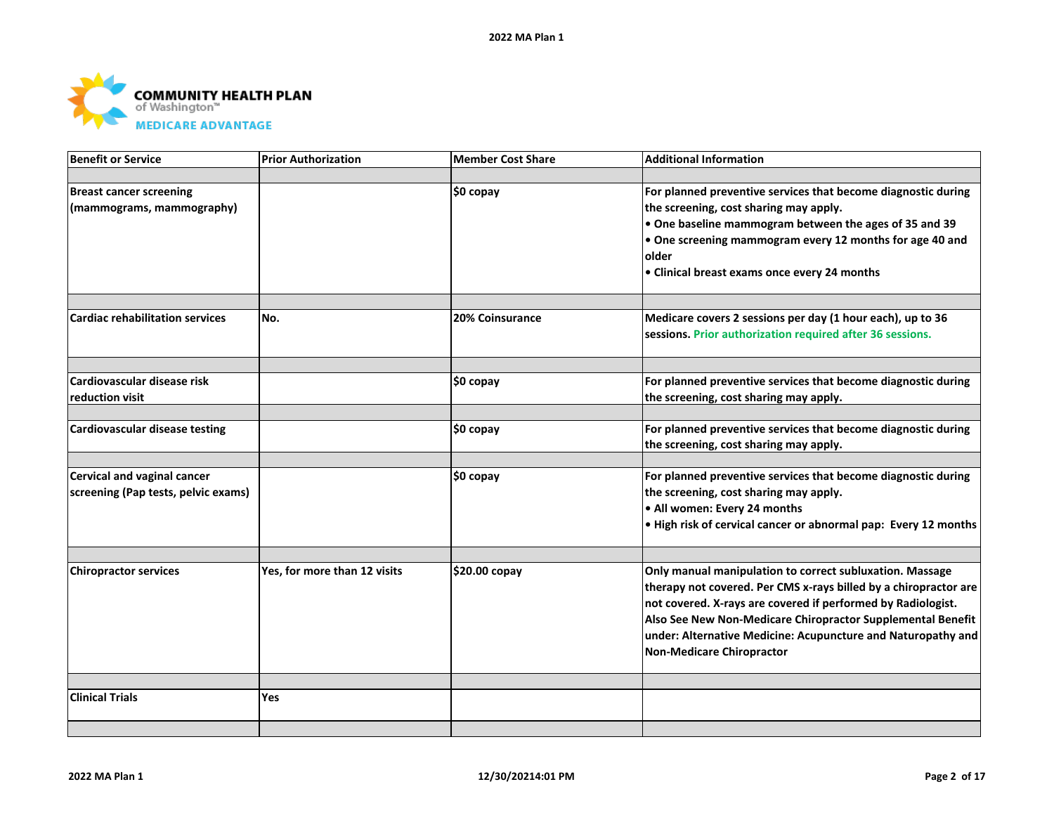

| <b>Benefit or Service</b>              | <b>Prior Authorization</b>   | Member Cost Share      | <b>Additional Information</b>                                    |
|----------------------------------------|------------------------------|------------------------|------------------------------------------------------------------|
|                                        |                              |                        |                                                                  |
| <b>Breast cancer screening</b>         |                              | \$0 copay              | For planned preventive services that become diagnostic during    |
| (mammograms, mammography)              |                              |                        | the screening, cost sharing may apply.                           |
|                                        |                              |                        | . One baseline mammogram between the ages of 35 and 39           |
|                                        |                              |                        | • One screening mammogram every 12 months for age 40 and         |
|                                        |                              |                        | older                                                            |
|                                        |                              |                        | • Clinical breast exams once every 24 months                     |
|                                        |                              |                        |                                                                  |
| <b>Cardiac rehabilitation services</b> | No.                          | <b>20% Coinsurance</b> | Medicare covers 2 sessions per day (1 hour each), up to 36       |
|                                        |                              |                        | sessions. Prior authorization required after 36 sessions.        |
|                                        |                              |                        |                                                                  |
| Cardiovascular disease risk            |                              | \$0 copay              | For planned preventive services that become diagnostic during    |
| reduction visit                        |                              |                        | the screening, cost sharing may apply.                           |
| Cardiovascular disease testing         |                              | \$0 copay              | For planned preventive services that become diagnostic during    |
|                                        |                              |                        | the screening, cost sharing may apply.                           |
|                                        |                              |                        |                                                                  |
| Cervical and vaginal cancer            |                              | \$0 copay              | For planned preventive services that become diagnostic during    |
| screening (Pap tests, pelvic exams)    |                              |                        | the screening, cost sharing may apply.                           |
|                                        |                              |                        | • All women: Every 24 months                                     |
|                                        |                              |                        | . High risk of cervical cancer or abnormal pap: Every 12 months  |
|                                        |                              |                        |                                                                  |
| <b>Chiropractor services</b>           | Yes, for more than 12 visits | \$20.00 copay          | Only manual manipulation to correct subluxation. Massage         |
|                                        |                              |                        | therapy not covered. Per CMS x-rays billed by a chiropractor are |
|                                        |                              |                        | not covered. X-rays are covered if performed by Radiologist.     |
|                                        |                              |                        | Also See New Non-Medicare Chiropractor Supplemental Benefit      |
|                                        |                              |                        | under: Alternative Medicine: Acupuncture and Naturopathy and     |
|                                        |                              |                        | Non-Medicare Chiropractor                                        |
|                                        |                              |                        |                                                                  |
| <b>Clinical Trials</b>                 | Yes                          |                        |                                                                  |
|                                        |                              |                        |                                                                  |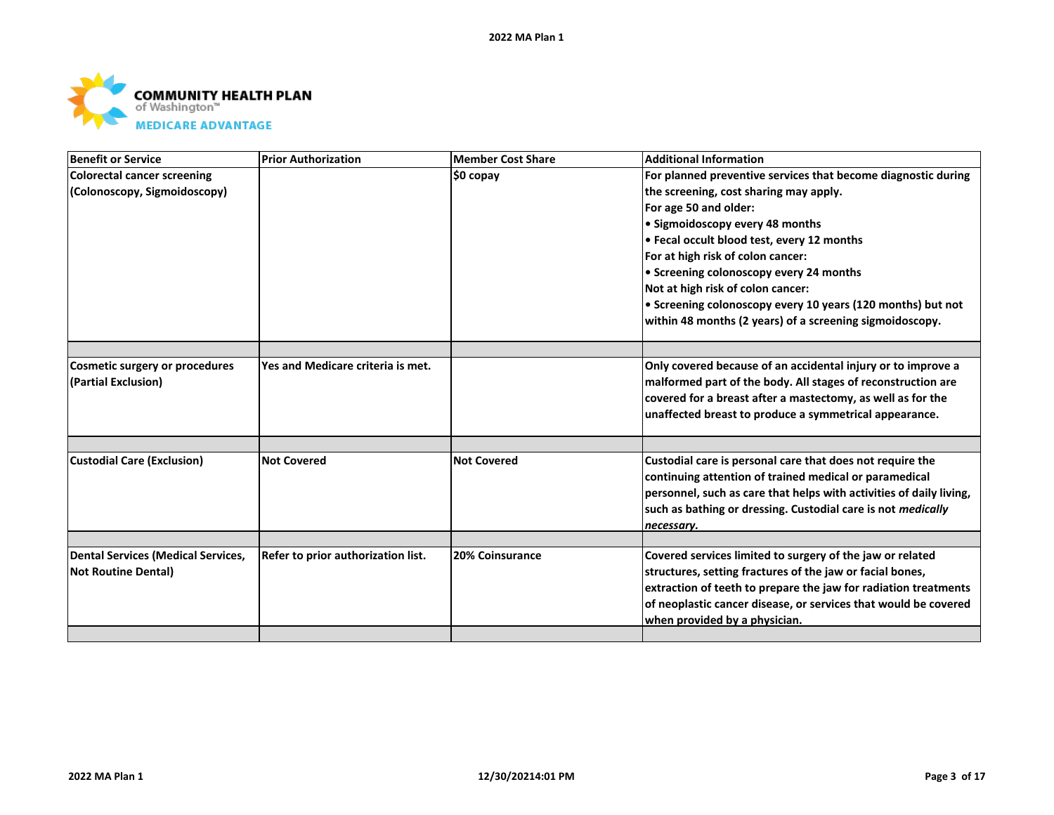

| <b>Benefit or Service</b>                 | <b>Prior Authorization</b>         | <b>Member Cost Share</b> | <b>Additional Information</b>                                       |
|-------------------------------------------|------------------------------------|--------------------------|---------------------------------------------------------------------|
| <b>Colorectal cancer screening</b>        |                                    | ∣\$0 copay               | For planned preventive services that become diagnostic during       |
| (Colonoscopy, Sigmoidoscopy)              |                                    |                          | the screening, cost sharing may apply.                              |
|                                           |                                    |                          | For age 50 and older:                                               |
|                                           |                                    |                          | • Sigmoidoscopy every 48 months                                     |
|                                           |                                    |                          | • Fecal occult blood test, every 12 months                          |
|                                           |                                    |                          | For at high risk of colon cancer:                                   |
|                                           |                                    |                          | • Screening colonoscopy every 24 months                             |
|                                           |                                    |                          | Not at high risk of colon cancer:                                   |
|                                           |                                    |                          | • Screening colonoscopy every 10 years (120 months) but not         |
|                                           |                                    |                          | within 48 months (2 years) of a screening sigmoidoscopy.            |
|                                           |                                    |                          |                                                                     |
| <b>Cosmetic surgery or procedures</b>     | Yes and Medicare criteria is met.  |                          | Only covered because of an accidental injury or to improve a        |
| (Partial Exclusion)                       |                                    |                          | malformed part of the body. All stages of reconstruction are        |
|                                           |                                    |                          | covered for a breast after a mastectomy, as well as for the         |
|                                           |                                    |                          | unaffected breast to produce a symmetrical appearance.              |
|                                           |                                    |                          |                                                                     |
|                                           |                                    |                          |                                                                     |
| <b>Custodial Care (Exclusion)</b>         | <b>Not Covered</b>                 | <b>Not Covered</b>       | Custodial care is personal care that does not require the           |
|                                           |                                    |                          | continuing attention of trained medical or paramedical              |
|                                           |                                    |                          | personnel, such as care that helps with activities of daily living, |
|                                           |                                    |                          | such as bathing or dressing. Custodial care is not medically        |
|                                           |                                    |                          | necessary.                                                          |
|                                           |                                    |                          |                                                                     |
| <b>Dental Services (Medical Services,</b> | Refer to prior authorization list. | <b>20% Coinsurance</b>   | Covered services limited to surgery of the jaw or related           |
| <b>Not Routine Dental)</b>                |                                    |                          | structures, setting fractures of the jaw or facial bones,           |
|                                           |                                    |                          | extraction of teeth to prepare the jaw for radiation treatments     |
|                                           |                                    |                          | of neoplastic cancer disease, or services that would be covered     |
|                                           |                                    |                          | when provided by a physician.                                       |
|                                           |                                    |                          |                                                                     |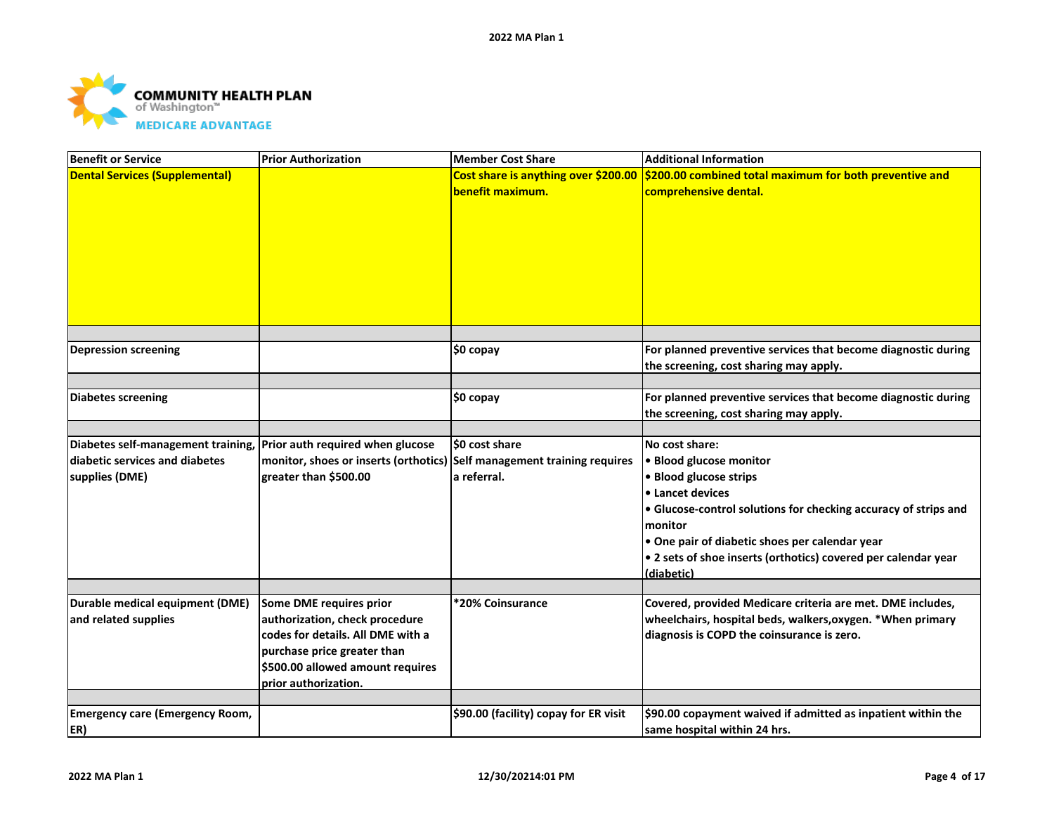

| Cost share is anything over \$200.00 \$200.00 combined total maximum for both preventive and<br><b>Dental Services (Supplemental)</b><br>benefit maximum.<br>comprehensive dental.<br>For planned preventive services that become diagnostic during<br>\$0 copay<br><b>Depression screening</b><br>the screening, cost sharing may apply.<br>For planned preventive services that become diagnostic during<br><b>Diabetes screening</b><br>$$0$ copay<br>the screening, cost sharing may apply.<br>Diabetes self-management training, Prior auth required when glucose<br>\$0 cost share<br>No cost share:<br>diabetic services and diabetes<br>monitor, shoes or inserts (orthotics)<br>Self management training requires<br>• Blood glucose monitor<br>greater than \$500.00<br>• Blood glucose strips<br>supplies (DME)<br>a referral.<br><b>.</b> Lancet devices<br><b>.</b> Glucose-control solutions for checking accuracy of strips and<br>monitor<br>. One pair of diabetic shoes per calendar year<br>• 2 sets of shoe inserts (orthotics) covered per calendar year<br>(diabetic)<br>Durable medical equipment (DME)<br>Covered, provided Medicare criteria are met. DME includes,<br>Some DME requires prior<br>*20% Coinsurance<br>and related supplies<br>authorization, check procedure<br>wheelchairs, hospital beds, walkers, oxygen. * When primary<br>codes for details. All DME with a<br>diagnosis is COPD the coinsurance is zero.<br>purchase price greater than<br>\$500.00 allowed amount requires<br>prior authorization.<br><b>Emergency care (Emergency Room,</b><br>\$90.00 (facility) copay for ER visit<br>\$90.00 copayment waived if admitted as inpatient within the<br>ER)<br>same hospital within 24 hrs. | <b>Benefit or Service</b> | <b>Prior Authorization</b> | <b>Member Cost Share</b> | <b>Additional Information</b> |
|----------------------------------------------------------------------------------------------------------------------------------------------------------------------------------------------------------------------------------------------------------------------------------------------------------------------------------------------------------------------------------------------------------------------------------------------------------------------------------------------------------------------------------------------------------------------------------------------------------------------------------------------------------------------------------------------------------------------------------------------------------------------------------------------------------------------------------------------------------------------------------------------------------------------------------------------------------------------------------------------------------------------------------------------------------------------------------------------------------------------------------------------------------------------------------------------------------------------------------------------------------------------------------------------------------------------------------------------------------------------------------------------------------------------------------------------------------------------------------------------------------------------------------------------------------------------------------------------------------------------------------------------------------------------------------------------------------------------------------------------|---------------------------|----------------------------|--------------------------|-------------------------------|
|                                                                                                                                                                                                                                                                                                                                                                                                                                                                                                                                                                                                                                                                                                                                                                                                                                                                                                                                                                                                                                                                                                                                                                                                                                                                                                                                                                                                                                                                                                                                                                                                                                                                                                                                              |                           |                            |                          |                               |
|                                                                                                                                                                                                                                                                                                                                                                                                                                                                                                                                                                                                                                                                                                                                                                                                                                                                                                                                                                                                                                                                                                                                                                                                                                                                                                                                                                                                                                                                                                                                                                                                                                                                                                                                              |                           |                            |                          |                               |
|                                                                                                                                                                                                                                                                                                                                                                                                                                                                                                                                                                                                                                                                                                                                                                                                                                                                                                                                                                                                                                                                                                                                                                                                                                                                                                                                                                                                                                                                                                                                                                                                                                                                                                                                              |                           |                            |                          |                               |
|                                                                                                                                                                                                                                                                                                                                                                                                                                                                                                                                                                                                                                                                                                                                                                                                                                                                                                                                                                                                                                                                                                                                                                                                                                                                                                                                                                                                                                                                                                                                                                                                                                                                                                                                              |                           |                            |                          |                               |
|                                                                                                                                                                                                                                                                                                                                                                                                                                                                                                                                                                                                                                                                                                                                                                                                                                                                                                                                                                                                                                                                                                                                                                                                                                                                                                                                                                                                                                                                                                                                                                                                                                                                                                                                              |                           |                            |                          |                               |
|                                                                                                                                                                                                                                                                                                                                                                                                                                                                                                                                                                                                                                                                                                                                                                                                                                                                                                                                                                                                                                                                                                                                                                                                                                                                                                                                                                                                                                                                                                                                                                                                                                                                                                                                              |                           |                            |                          |                               |
|                                                                                                                                                                                                                                                                                                                                                                                                                                                                                                                                                                                                                                                                                                                                                                                                                                                                                                                                                                                                                                                                                                                                                                                                                                                                                                                                                                                                                                                                                                                                                                                                                                                                                                                                              |                           |                            |                          |                               |
|                                                                                                                                                                                                                                                                                                                                                                                                                                                                                                                                                                                                                                                                                                                                                                                                                                                                                                                                                                                                                                                                                                                                                                                                                                                                                                                                                                                                                                                                                                                                                                                                                                                                                                                                              |                           |                            |                          |                               |
|                                                                                                                                                                                                                                                                                                                                                                                                                                                                                                                                                                                                                                                                                                                                                                                                                                                                                                                                                                                                                                                                                                                                                                                                                                                                                                                                                                                                                                                                                                                                                                                                                                                                                                                                              |                           |                            |                          |                               |
|                                                                                                                                                                                                                                                                                                                                                                                                                                                                                                                                                                                                                                                                                                                                                                                                                                                                                                                                                                                                                                                                                                                                                                                                                                                                                                                                                                                                                                                                                                                                                                                                                                                                                                                                              |                           |                            |                          |                               |
|                                                                                                                                                                                                                                                                                                                                                                                                                                                                                                                                                                                                                                                                                                                                                                                                                                                                                                                                                                                                                                                                                                                                                                                                                                                                                                                                                                                                                                                                                                                                                                                                                                                                                                                                              |                           |                            |                          |                               |
|                                                                                                                                                                                                                                                                                                                                                                                                                                                                                                                                                                                                                                                                                                                                                                                                                                                                                                                                                                                                                                                                                                                                                                                                                                                                                                                                                                                                                                                                                                                                                                                                                                                                                                                                              |                           |                            |                          |                               |
|                                                                                                                                                                                                                                                                                                                                                                                                                                                                                                                                                                                                                                                                                                                                                                                                                                                                                                                                                                                                                                                                                                                                                                                                                                                                                                                                                                                                                                                                                                                                                                                                                                                                                                                                              |                           |                            |                          |                               |
|                                                                                                                                                                                                                                                                                                                                                                                                                                                                                                                                                                                                                                                                                                                                                                                                                                                                                                                                                                                                                                                                                                                                                                                                                                                                                                                                                                                                                                                                                                                                                                                                                                                                                                                                              |                           |                            |                          |                               |
|                                                                                                                                                                                                                                                                                                                                                                                                                                                                                                                                                                                                                                                                                                                                                                                                                                                                                                                                                                                                                                                                                                                                                                                                                                                                                                                                                                                                                                                                                                                                                                                                                                                                                                                                              |                           |                            |                          |                               |
|                                                                                                                                                                                                                                                                                                                                                                                                                                                                                                                                                                                                                                                                                                                                                                                                                                                                                                                                                                                                                                                                                                                                                                                                                                                                                                                                                                                                                                                                                                                                                                                                                                                                                                                                              |                           |                            |                          |                               |
|                                                                                                                                                                                                                                                                                                                                                                                                                                                                                                                                                                                                                                                                                                                                                                                                                                                                                                                                                                                                                                                                                                                                                                                                                                                                                                                                                                                                                                                                                                                                                                                                                                                                                                                                              |                           |                            |                          |                               |
|                                                                                                                                                                                                                                                                                                                                                                                                                                                                                                                                                                                                                                                                                                                                                                                                                                                                                                                                                                                                                                                                                                                                                                                                                                                                                                                                                                                                                                                                                                                                                                                                                                                                                                                                              |                           |                            |                          |                               |
|                                                                                                                                                                                                                                                                                                                                                                                                                                                                                                                                                                                                                                                                                                                                                                                                                                                                                                                                                                                                                                                                                                                                                                                                                                                                                                                                                                                                                                                                                                                                                                                                                                                                                                                                              |                           |                            |                          |                               |
|                                                                                                                                                                                                                                                                                                                                                                                                                                                                                                                                                                                                                                                                                                                                                                                                                                                                                                                                                                                                                                                                                                                                                                                                                                                                                                                                                                                                                                                                                                                                                                                                                                                                                                                                              |                           |                            |                          |                               |
|                                                                                                                                                                                                                                                                                                                                                                                                                                                                                                                                                                                                                                                                                                                                                                                                                                                                                                                                                                                                                                                                                                                                                                                                                                                                                                                                                                                                                                                                                                                                                                                                                                                                                                                                              |                           |                            |                          |                               |
|                                                                                                                                                                                                                                                                                                                                                                                                                                                                                                                                                                                                                                                                                                                                                                                                                                                                                                                                                                                                                                                                                                                                                                                                                                                                                                                                                                                                                                                                                                                                                                                                                                                                                                                                              |                           |                            |                          |                               |
|                                                                                                                                                                                                                                                                                                                                                                                                                                                                                                                                                                                                                                                                                                                                                                                                                                                                                                                                                                                                                                                                                                                                                                                                                                                                                                                                                                                                                                                                                                                                                                                                                                                                                                                                              |                           |                            |                          |                               |
|                                                                                                                                                                                                                                                                                                                                                                                                                                                                                                                                                                                                                                                                                                                                                                                                                                                                                                                                                                                                                                                                                                                                                                                                                                                                                                                                                                                                                                                                                                                                                                                                                                                                                                                                              |                           |                            |                          |                               |
|                                                                                                                                                                                                                                                                                                                                                                                                                                                                                                                                                                                                                                                                                                                                                                                                                                                                                                                                                                                                                                                                                                                                                                                                                                                                                                                                                                                                                                                                                                                                                                                                                                                                                                                                              |                           |                            |                          |                               |
|                                                                                                                                                                                                                                                                                                                                                                                                                                                                                                                                                                                                                                                                                                                                                                                                                                                                                                                                                                                                                                                                                                                                                                                                                                                                                                                                                                                                                                                                                                                                                                                                                                                                                                                                              |                           |                            |                          |                               |
|                                                                                                                                                                                                                                                                                                                                                                                                                                                                                                                                                                                                                                                                                                                                                                                                                                                                                                                                                                                                                                                                                                                                                                                                                                                                                                                                                                                                                                                                                                                                                                                                                                                                                                                                              |                           |                            |                          |                               |
|                                                                                                                                                                                                                                                                                                                                                                                                                                                                                                                                                                                                                                                                                                                                                                                                                                                                                                                                                                                                                                                                                                                                                                                                                                                                                                                                                                                                                                                                                                                                                                                                                                                                                                                                              |                           |                            |                          |                               |
|                                                                                                                                                                                                                                                                                                                                                                                                                                                                                                                                                                                                                                                                                                                                                                                                                                                                                                                                                                                                                                                                                                                                                                                                                                                                                                                                                                                                                                                                                                                                                                                                                                                                                                                                              |                           |                            |                          |                               |
|                                                                                                                                                                                                                                                                                                                                                                                                                                                                                                                                                                                                                                                                                                                                                                                                                                                                                                                                                                                                                                                                                                                                                                                                                                                                                                                                                                                                                                                                                                                                                                                                                                                                                                                                              |                           |                            |                          |                               |
|                                                                                                                                                                                                                                                                                                                                                                                                                                                                                                                                                                                                                                                                                                                                                                                                                                                                                                                                                                                                                                                                                                                                                                                                                                                                                                                                                                                                                                                                                                                                                                                                                                                                                                                                              |                           |                            |                          |                               |
|                                                                                                                                                                                                                                                                                                                                                                                                                                                                                                                                                                                                                                                                                                                                                                                                                                                                                                                                                                                                                                                                                                                                                                                                                                                                                                                                                                                                                                                                                                                                                                                                                                                                                                                                              |                           |                            |                          |                               |
|                                                                                                                                                                                                                                                                                                                                                                                                                                                                                                                                                                                                                                                                                                                                                                                                                                                                                                                                                                                                                                                                                                                                                                                                                                                                                                                                                                                                                                                                                                                                                                                                                                                                                                                                              |                           |                            |                          |                               |
|                                                                                                                                                                                                                                                                                                                                                                                                                                                                                                                                                                                                                                                                                                                                                                                                                                                                                                                                                                                                                                                                                                                                                                                                                                                                                                                                                                                                                                                                                                                                                                                                                                                                                                                                              |                           |                            |                          |                               |
|                                                                                                                                                                                                                                                                                                                                                                                                                                                                                                                                                                                                                                                                                                                                                                                                                                                                                                                                                                                                                                                                                                                                                                                                                                                                                                                                                                                                                                                                                                                                                                                                                                                                                                                                              |                           |                            |                          |                               |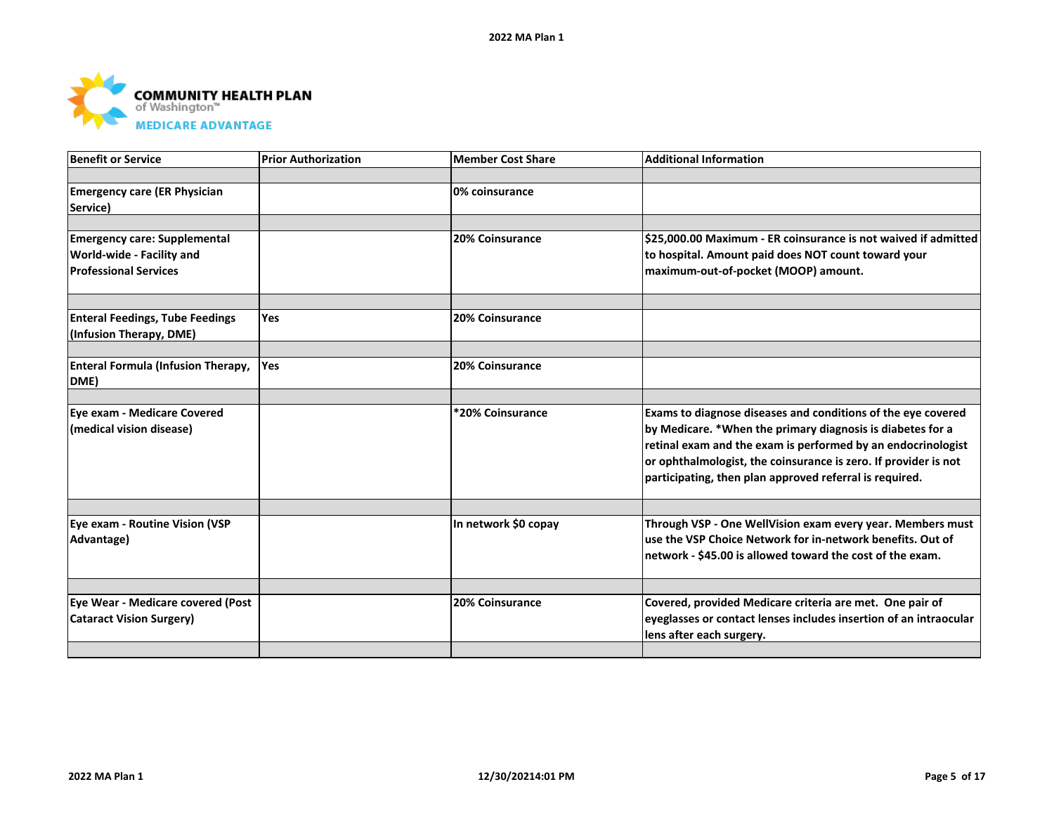

| <b>Benefit or Service</b>                                                                        | <b>Prior Authorization</b> | <b>Member Cost Share</b> | <b>Additional Information</b>                                                                                                                                                                                                                                                                                            |
|--------------------------------------------------------------------------------------------------|----------------------------|--------------------------|--------------------------------------------------------------------------------------------------------------------------------------------------------------------------------------------------------------------------------------------------------------------------------------------------------------------------|
|                                                                                                  |                            |                          |                                                                                                                                                                                                                                                                                                                          |
| <b>Emergency care (ER Physician</b><br>Service)                                                  |                            | 0% coinsurance           |                                                                                                                                                                                                                                                                                                                          |
|                                                                                                  |                            |                          |                                                                                                                                                                                                                                                                                                                          |
| <b>Emergency care: Supplemental</b><br>World-wide - Facility and<br><b>Professional Services</b> |                            | 20% Coinsurance          | \$25,000.00 Maximum - ER coinsurance is not waived if admitted<br>to hospital. Amount paid does NOT count toward your<br>maximum-out-of-pocket (MOOP) amount.                                                                                                                                                            |
|                                                                                                  |                            |                          |                                                                                                                                                                                                                                                                                                                          |
| <b>Enteral Feedings, Tube Feedings</b><br>(Infusion Therapy, DME)                                | <b>Yes</b>                 | 20% Coinsurance          |                                                                                                                                                                                                                                                                                                                          |
|                                                                                                  | <b>Yes</b>                 | 20% Coinsurance          |                                                                                                                                                                                                                                                                                                                          |
| <b>Enteral Formula (Infusion Therapy,</b><br>DME)                                                |                            |                          |                                                                                                                                                                                                                                                                                                                          |
|                                                                                                  |                            |                          |                                                                                                                                                                                                                                                                                                                          |
| Eye exam - Medicare Covered<br>(medical vision disease)                                          |                            | *20% Coinsurance         | Exams to diagnose diseases and conditions of the eye covered<br>by Medicare. *When the primary diagnosis is diabetes for a<br>retinal exam and the exam is performed by an endocrinologist<br>or ophthalmologist, the coinsurance is zero. If provider is not<br>participating, then plan approved referral is required. |
|                                                                                                  |                            |                          |                                                                                                                                                                                                                                                                                                                          |
| Eye exam - Routine Vision (VSP<br>Advantage)                                                     |                            | In network \$0 copay     | Through VSP - One WellVision exam every year. Members must<br>use the VSP Choice Network for in-network benefits. Out of<br>network - \$45.00 is allowed toward the cost of the exam.                                                                                                                                    |
|                                                                                                  |                            |                          |                                                                                                                                                                                                                                                                                                                          |
| Eye Wear - Medicare covered (Post<br><b>Cataract Vision Surgery)</b>                             |                            | 20% Coinsurance          | Covered, provided Medicare criteria are met. One pair of<br>eyeglasses or contact lenses includes insertion of an intraocular<br>lens after each surgery.                                                                                                                                                                |
|                                                                                                  |                            |                          |                                                                                                                                                                                                                                                                                                                          |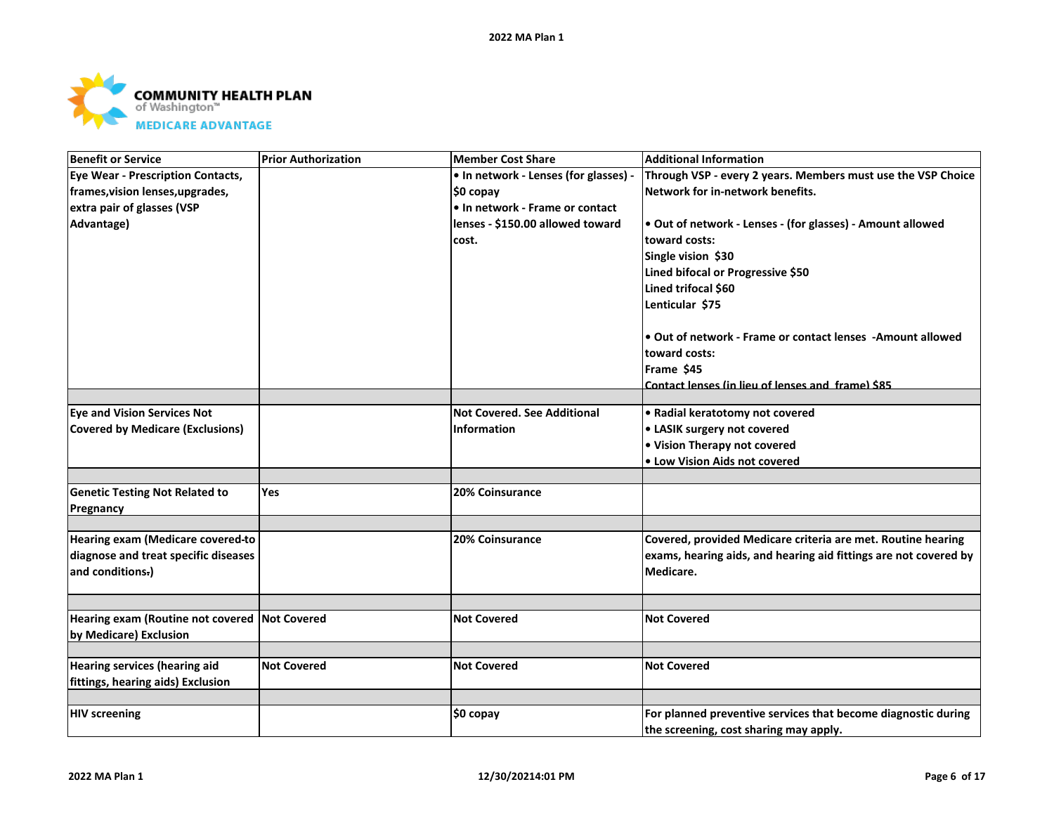

| <b>Benefit or Service</b>                                               | <b>Prior Authorization</b> | <b>Member Cost Share</b>              | <b>Additional Information</b>                                    |
|-------------------------------------------------------------------------|----------------------------|---------------------------------------|------------------------------------------------------------------|
| <b>Eye Wear - Prescription Contacts,</b>                                |                            | • In network - Lenses (for glasses) - | Through VSP - every 2 years. Members must use the VSP Choice     |
| frames, vision lenses, upgrades,                                        |                            | \$0 copay                             | Network for in-network benefits.                                 |
| extra pair of glasses (VSP                                              |                            | • In network - Frame or contact       |                                                                  |
| Advantage)                                                              |                            | lenses - \$150.00 allowed toward      | . Out of network - Lenses - (for glasses) - Amount allowed       |
|                                                                         |                            | cost.                                 | toward costs:                                                    |
|                                                                         |                            |                                       | Single vision \$30                                               |
|                                                                         |                            |                                       | Lined bifocal or Progressive \$50                                |
|                                                                         |                            |                                       | Lined trifocal \$60                                              |
|                                                                         |                            |                                       | Lenticular \$75                                                  |
|                                                                         |                            |                                       | • Out of network - Frame or contact lenses - Amount allowed      |
|                                                                         |                            |                                       | toward costs:                                                    |
|                                                                         |                            |                                       | Frame \$45                                                       |
|                                                                         |                            |                                       | Contact lenses (in lieu of lenses and frame) \$85                |
|                                                                         |                            |                                       |                                                                  |
| <b>Eye and Vision Services Not</b>                                      |                            | <b>Not Covered. See Additional</b>    | • Radial keratotomy not covered                                  |
| <b>Covered by Medicare (Exclusions)</b>                                 |                            | <b>Information</b>                    | • LASIK surgery not covered                                      |
|                                                                         |                            |                                       | . Vision Therapy not covered                                     |
|                                                                         |                            |                                       | • Low Vision Aids not covered                                    |
| <b>Genetic Testing Not Related to</b>                                   | Yes                        | 20% Coinsurance                       |                                                                  |
|                                                                         |                            |                                       |                                                                  |
| Pregnancy                                                               |                            |                                       |                                                                  |
| Hearing exam (Medicare covered-to                                       |                            | <b>20% Coinsurance</b>                | Covered, provided Medicare criteria are met. Routine hearing     |
| diagnose and treat specific diseases                                    |                            |                                       | exams, hearing aids, and hearing aid fittings are not covered by |
| and conditions-)                                                        |                            |                                       | Medicare.                                                        |
|                                                                         |                            |                                       |                                                                  |
| Hearing exam (Routine not covered Not Covered<br>by Medicare) Exclusion |                            | <b>Not Covered</b>                    | <b>Not Covered</b>                                               |
|                                                                         |                            |                                       |                                                                  |
| <b>Hearing services (hearing aid</b>                                    | <b>Not Covered</b>         | <b>Not Covered</b>                    | <b>Not Covered</b>                                               |
| fittings, hearing aids) Exclusion                                       |                            |                                       |                                                                  |
|                                                                         |                            |                                       |                                                                  |
| <b>HIV screening</b>                                                    |                            | \$0 copay                             | For planned preventive services that become diagnostic during    |
|                                                                         |                            |                                       | the screening, cost sharing may apply.                           |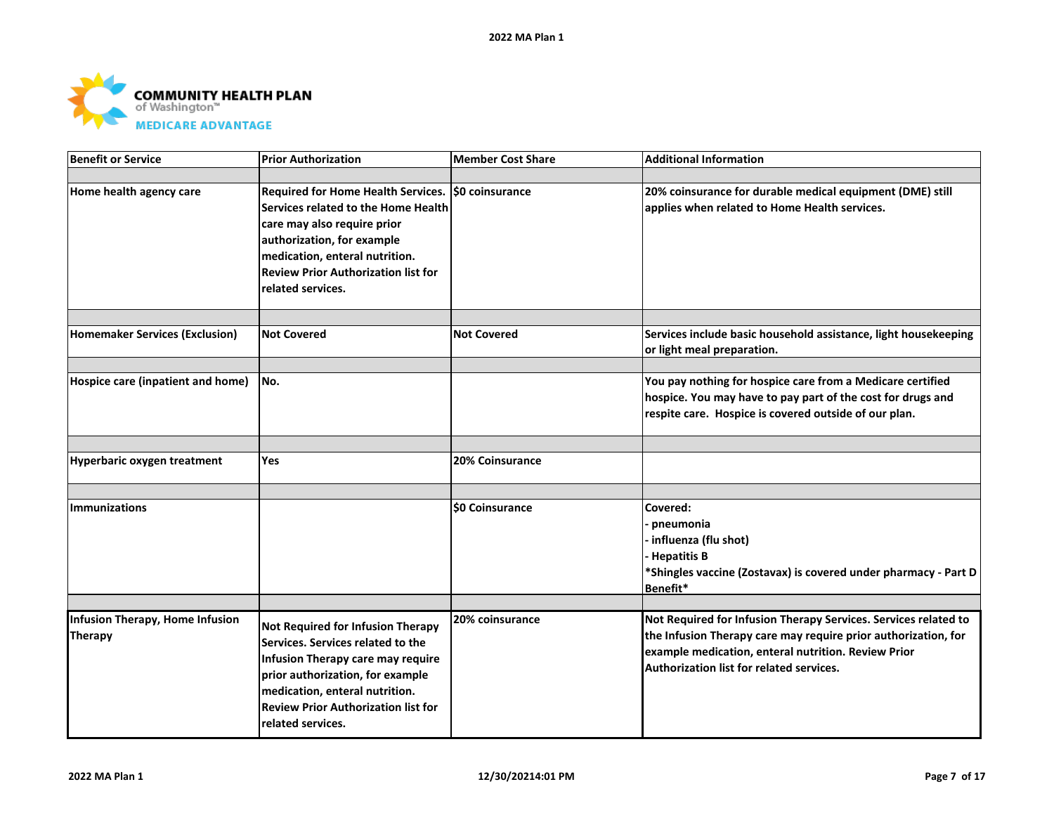

| <b>Benefit or Service</b>                  | <b>Prior Authorization</b>                                                                                                                                                                                                                                    | Member Cost Share      | <b>Additional Information</b>                                                                                                                                                                                                        |
|--------------------------------------------|---------------------------------------------------------------------------------------------------------------------------------------------------------------------------------------------------------------------------------------------------------------|------------------------|--------------------------------------------------------------------------------------------------------------------------------------------------------------------------------------------------------------------------------------|
|                                            |                                                                                                                                                                                                                                                               |                        |                                                                                                                                                                                                                                      |
| Home health agency care                    | Required for Home Health Services.   \$0 coinsurance<br>Services related to the Home Health<br>care may also require prior<br>authorization, for example<br>medication, enteral nutrition.<br><b>Review Prior Authorization list for</b><br>related services. |                        | 20% coinsurance for durable medical equipment (DME) still<br>applies when related to Home Health services.                                                                                                                           |
|                                            |                                                                                                                                                                                                                                                               |                        |                                                                                                                                                                                                                                      |
| <b>Homemaker Services (Exclusion)</b>      | <b>Not Covered</b>                                                                                                                                                                                                                                            | <b>Not Covered</b>     | Services include basic household assistance, light housekeeping<br>or light meal preparation.                                                                                                                                        |
|                                            |                                                                                                                                                                                                                                                               |                        |                                                                                                                                                                                                                                      |
| Hospice care (inpatient and home)          | No.                                                                                                                                                                                                                                                           |                        | You pay nothing for hospice care from a Medicare certified<br>hospice. You may have to pay part of the cost for drugs and<br>respite care. Hospice is covered outside of our plan.                                                   |
|                                            |                                                                                                                                                                                                                                                               |                        |                                                                                                                                                                                                                                      |
| <b>Hyperbaric oxygen treatment</b>         | Yes                                                                                                                                                                                                                                                           | <b>20% Coinsurance</b> |                                                                                                                                                                                                                                      |
|                                            |                                                                                                                                                                                                                                                               |                        |                                                                                                                                                                                                                                      |
| <b>Immunizations</b>                       |                                                                                                                                                                                                                                                               | \$0 Coinsurance        | Covered:<br>pneumonia<br>- influenza (flu shot)<br><b>Hepatitis B</b><br>*Shingles vaccine (Zostavax) is covered under pharmacy - Part D<br>Benefit*                                                                                 |
|                                            |                                                                                                                                                                                                                                                               |                        |                                                                                                                                                                                                                                      |
| Infusion Therapy, Home Infusion<br>Therapy | Not Required for Infusion Therapy<br>Services. Services related to the<br>Infusion Therapy care may require<br>prior authorization, for example<br>medication, enteral nutrition.<br><b>Review Prior Authorization list for</b><br>related services.          | <b>20% coinsurance</b> | Not Required for Infusion Therapy Services. Services related to<br>the Infusion Therapy care may require prior authorization, for<br>example medication, enteral nutrition. Review Prior<br>Authorization list for related services. |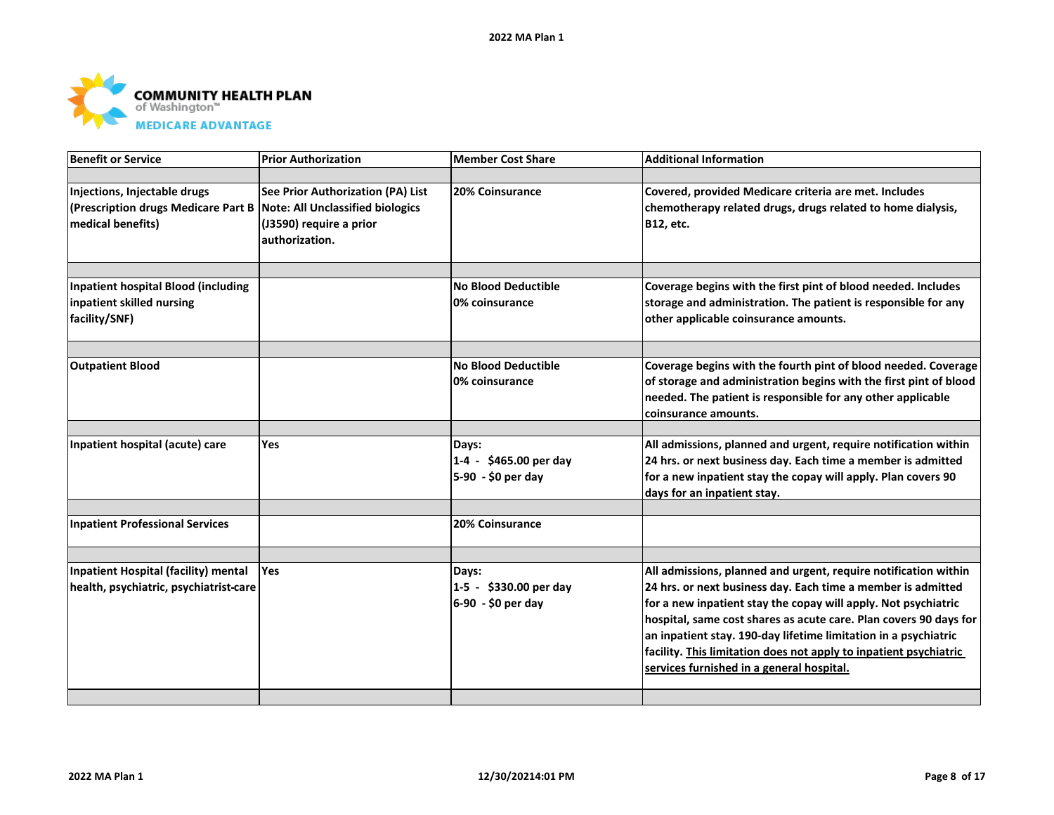

| Benefit or Service                                                                       | <b>Prior Authorization</b>                                                                                                | <b>Member Cost Share</b>                              | <b>Additional Information</b>                                                                                                                                                                                                                                                                                                                                                                                                                               |
|------------------------------------------------------------------------------------------|---------------------------------------------------------------------------------------------------------------------------|-------------------------------------------------------|-------------------------------------------------------------------------------------------------------------------------------------------------------------------------------------------------------------------------------------------------------------------------------------------------------------------------------------------------------------------------------------------------------------------------------------------------------------|
|                                                                                          |                                                                                                                           |                                                       |                                                                                                                                                                                                                                                                                                                                                                                                                                                             |
| Injections, Injectable drugs<br>(Prescription drugs Medicare Part B<br>medical benefits) | See Prior Authorization (PA) List<br><b>Note: All Unclassified biologics</b><br>(J3590) require a prior<br>authorization. | 20% Coinsurance                                       | Covered, provided Medicare criteria are met. Includes<br>chemotherapy related drugs, drugs related to home dialysis,<br>B12, etc.                                                                                                                                                                                                                                                                                                                           |
|                                                                                          |                                                                                                                           |                                                       |                                                                                                                                                                                                                                                                                                                                                                                                                                                             |
| <b>Inpatient hospital Blood (including</b>                                               |                                                                                                                           | <b>No Blood Deductible</b>                            | Coverage begins with the first pint of blood needed. Includes                                                                                                                                                                                                                                                                                                                                                                                               |
| inpatient skilled nursing<br>facility/SNF)                                               |                                                                                                                           | 0% coinsurance                                        | storage and administration. The patient is responsible for any<br>other applicable coinsurance amounts.                                                                                                                                                                                                                                                                                                                                                     |
|                                                                                          |                                                                                                                           |                                                       |                                                                                                                                                                                                                                                                                                                                                                                                                                                             |
| <b>Outpatient Blood</b>                                                                  |                                                                                                                           | <b>No Blood Deductible</b><br>0% coinsurance          | Coverage begins with the fourth pint of blood needed. Coverage<br>of storage and administration begins with the first pint of blood<br>needed. The patient is responsible for any other applicable<br>coinsurance amounts.                                                                                                                                                                                                                                  |
|                                                                                          |                                                                                                                           |                                                       |                                                                                                                                                                                                                                                                                                                                                                                                                                                             |
| Inpatient hospital (acute) care                                                          | Yes                                                                                                                       | Days:<br>1-4 - \$465.00 per day<br>5-90 - \$0 per day | All admissions, planned and urgent, require notification within<br>24 hrs. or next business day. Each time a member is admitted<br>for a new inpatient stay the copay will apply. Plan covers 90<br>days for an inpatient stay.                                                                                                                                                                                                                             |
|                                                                                          |                                                                                                                           |                                                       |                                                                                                                                                                                                                                                                                                                                                                                                                                                             |
| <b>Inpatient Professional Services</b>                                                   |                                                                                                                           | 20% Coinsurance                                       |                                                                                                                                                                                                                                                                                                                                                                                                                                                             |
|                                                                                          |                                                                                                                           |                                                       |                                                                                                                                                                                                                                                                                                                                                                                                                                                             |
| Inpatient Hospital (facility) mental<br>health, psychiatric, psychiatrist-care           | Yes                                                                                                                       | Days:<br>1-5 - \$330.00 per day<br>6-90 - \$0 per day | All admissions, planned and urgent, require notification within<br>24 hrs. or next business day. Each time a member is admitted<br>for a new inpatient stay the copay will apply. Not psychiatric<br>hospital, same cost shares as acute care. Plan covers 90 days for<br>an inpatient stay. 190-day lifetime limitation in a psychiatric<br>facility. This limitation does not apply to inpatient psychiatric<br>services furnished in a general hospital. |
|                                                                                          |                                                                                                                           |                                                       |                                                                                                                                                                                                                                                                                                                                                                                                                                                             |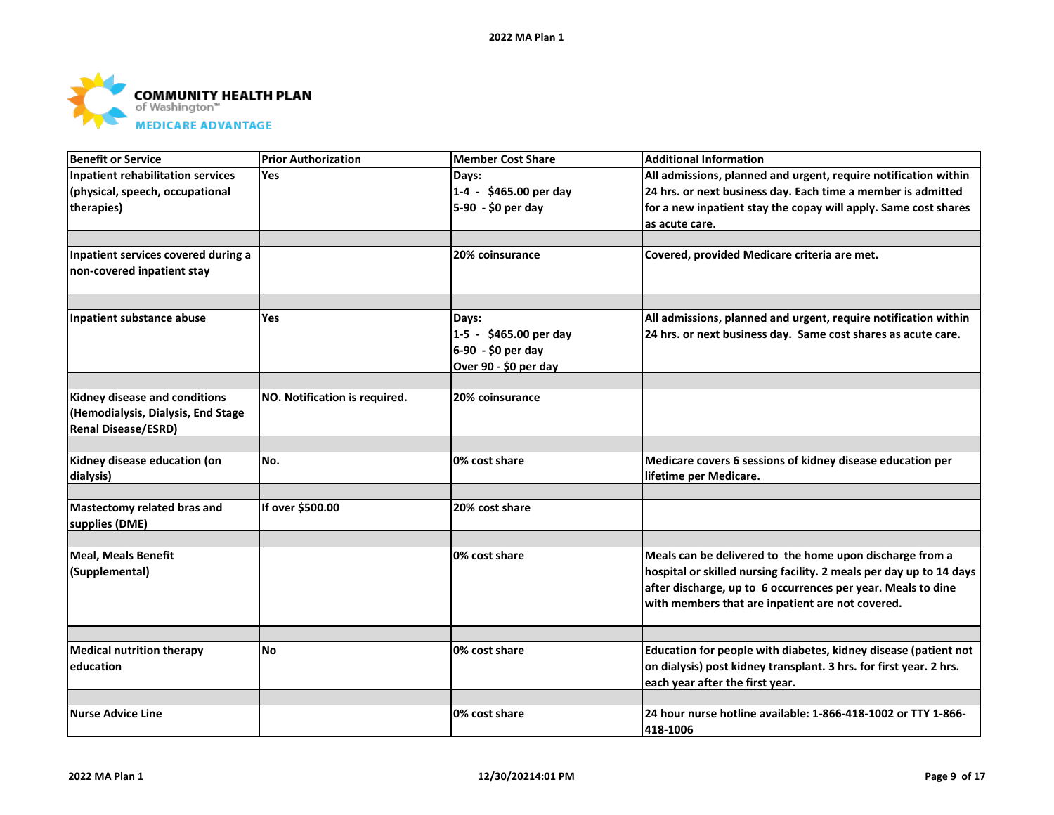

| <b>Benefit or Service</b>                | <b>Prior Authorization</b>    | <b>Member Cost Share</b> | <b>Additional Information</b>                                       |
|------------------------------------------|-------------------------------|--------------------------|---------------------------------------------------------------------|
| <b>Inpatient rehabilitation services</b> | <b>Yes</b>                    | Days:                    | All admissions, planned and urgent, require notification within     |
| (physical, speech, occupational          |                               | 1-4 - \$465.00 per day   | 24 hrs. or next business day. Each time a member is admitted        |
| therapies)                               |                               | 5-90 - \$0 per day       | for a new inpatient stay the copay will apply. Same cost shares     |
|                                          |                               |                          | as acute care.                                                      |
|                                          |                               |                          |                                                                     |
| Inpatient services covered during a      |                               | <b>20% coinsurance</b>   | Covered, provided Medicare criteria are met.                        |
| non-covered inpatient stay               |                               |                          |                                                                     |
|                                          |                               |                          |                                                                     |
|                                          |                               |                          |                                                                     |
| Inpatient substance abuse                | <b>Yes</b>                    | Days:                    | All admissions, planned and urgent, require notification within     |
|                                          |                               | 1-5 - \$465.00 per day   | 24 hrs. or next business day. Same cost shares as acute care.       |
|                                          |                               | 6-90 - \$0 per day       |                                                                     |
|                                          |                               | Over 90 - \$0 per day    |                                                                     |
|                                          |                               |                          |                                                                     |
| Kidney disease and conditions            | NO. Notification is required. | 20% coinsurance          |                                                                     |
| (Hemodialysis, Dialysis, End Stage       |                               |                          |                                                                     |
| <b>Renal Disease/ESRD)</b>               |                               |                          |                                                                     |
| Kidney disease education (on             | No.                           | 0% cost share            | Medicare covers 6 sessions of kidney disease education per          |
| dialysis)                                |                               |                          | lifetime per Medicare.                                              |
|                                          |                               |                          |                                                                     |
| Mastectomy related bras and              | If over \$500.00              | 20% cost share           |                                                                     |
| supplies (DME)                           |                               |                          |                                                                     |
|                                          |                               |                          |                                                                     |
| <b>Meal, Meals Benefit</b>               |                               | 0% cost share            | Meals can be delivered to the home upon discharge from a            |
| (Supplemental)                           |                               |                          | hospital or skilled nursing facility. 2 meals per day up to 14 days |
|                                          |                               |                          | after discharge, up to 6 occurrences per year. Meals to dine        |
|                                          |                               |                          | with members that are inpatient are not covered.                    |
|                                          |                               |                          |                                                                     |
|                                          |                               |                          |                                                                     |
| <b>Medical nutrition therapy</b>         | <b>No</b>                     | 0% cost share            | Education for people with diabetes, kidney disease (patient not     |
| education                                |                               |                          | on dialysis) post kidney transplant. 3 hrs. for first year. 2 hrs.  |
|                                          |                               |                          | each year after the first year.                                     |
|                                          |                               |                          |                                                                     |
| <b>Nurse Advice Line</b>                 |                               | 0% cost share            | 24 hour nurse hotline available: 1-866-418-1002 or TTY 1-866-       |
|                                          |                               |                          | 418-1006                                                            |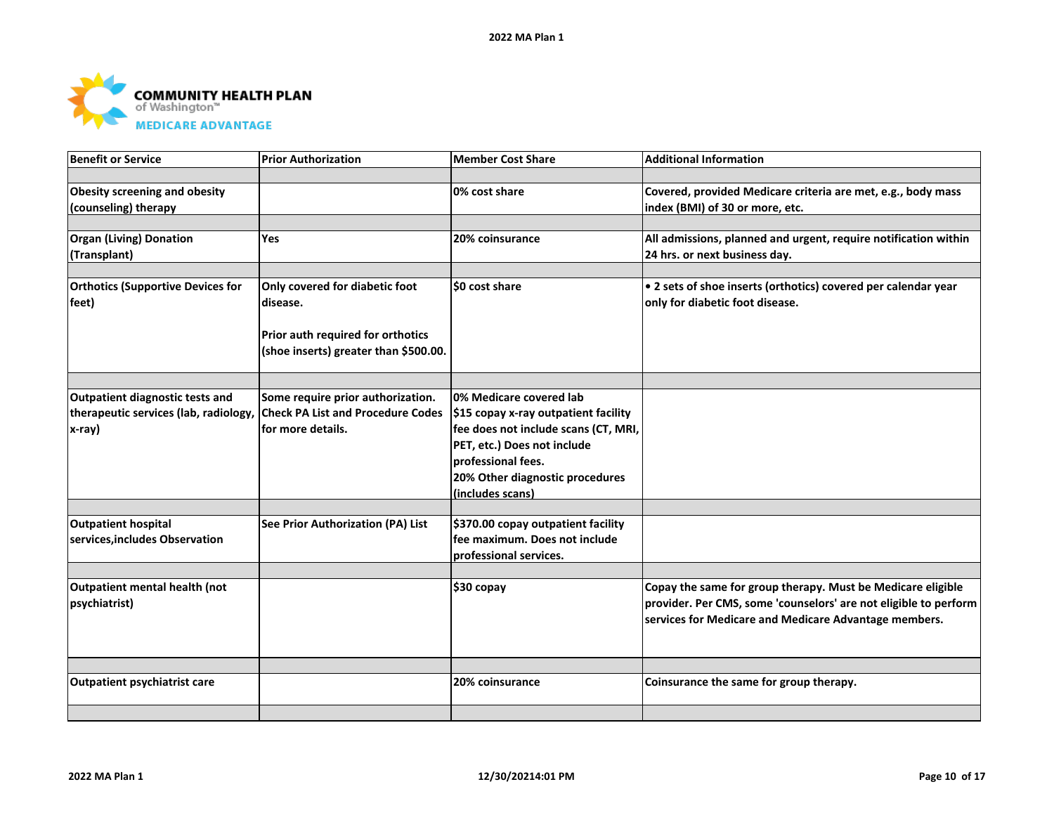

| <b>Benefit or Service</b>                                                          | <b>Prior Authorization</b>                                                                         | Member Cost Share                                                                                                                                                                                                   | <b>Additional Information</b>                                                                                                                                                            |
|------------------------------------------------------------------------------------|----------------------------------------------------------------------------------------------------|---------------------------------------------------------------------------------------------------------------------------------------------------------------------------------------------------------------------|------------------------------------------------------------------------------------------------------------------------------------------------------------------------------------------|
|                                                                                    |                                                                                                    |                                                                                                                                                                                                                     |                                                                                                                                                                                          |
| <b>Obesity screening and obesity</b><br>(counseling) therapy                       |                                                                                                    | 0% cost share                                                                                                                                                                                                       | Covered, provided Medicare criteria are met, e.g., body mass<br>index (BMI) of 30 or more, etc.                                                                                          |
|                                                                                    |                                                                                                    |                                                                                                                                                                                                                     |                                                                                                                                                                                          |
| <b>Organ (Living) Donation</b><br>(Transplant)                                     | <b>Yes</b>                                                                                         | 20% coinsurance                                                                                                                                                                                                     | All admissions, planned and urgent, require notification within<br>24 hrs. or next business day.                                                                                         |
|                                                                                    |                                                                                                    |                                                                                                                                                                                                                     |                                                                                                                                                                                          |
| <b>Orthotics (Supportive Devices for</b><br>feet)                                  | Only covered for diabetic foot<br>disease.                                                         | SO cost share                                                                                                                                                                                                       | • 2 sets of shoe inserts (orthotics) covered per calendar year<br>only for diabetic foot disease.                                                                                        |
|                                                                                    | Prior auth required for orthotics<br>(shoe inserts) greater than \$500.00.                         |                                                                                                                                                                                                                     |                                                                                                                                                                                          |
|                                                                                    |                                                                                                    |                                                                                                                                                                                                                     |                                                                                                                                                                                          |
| Outpatient diagnostic tests and<br>therapeutic services (lab, radiology,<br>x-ray) | Some require prior authorization.<br><b>Check PA List and Procedure Codes</b><br>for more details. | 0% Medicare covered lab<br>\$15 copay x-ray outpatient facility<br>fee does not include scans (CT, MRI,<br>PET, etc.) Does not include<br>professional fees.<br>20% Other diagnostic procedures<br>(includes scans) |                                                                                                                                                                                          |
|                                                                                    |                                                                                                    |                                                                                                                                                                                                                     |                                                                                                                                                                                          |
| <b>Outpatient hospital</b><br>services, includes Observation                       | See Prior Authorization (PA) List                                                                  | \$370.00 copay outpatient facility<br>fee maximum. Does not include<br>professional services.                                                                                                                       |                                                                                                                                                                                          |
|                                                                                    |                                                                                                    |                                                                                                                                                                                                                     |                                                                                                                                                                                          |
| Outpatient mental health (not<br>psychiatrist)                                     |                                                                                                    | \$30 copay                                                                                                                                                                                                          | Copay the same for group therapy. Must be Medicare eligible<br>provider. Per CMS, some 'counselors' are not eligible to perform<br>services for Medicare and Medicare Advantage members. |
|                                                                                    |                                                                                                    |                                                                                                                                                                                                                     |                                                                                                                                                                                          |
| <b>Outpatient psychiatrist care</b>                                                |                                                                                                    | 20% coinsurance                                                                                                                                                                                                     | Coinsurance the same for group therapy.                                                                                                                                                  |
|                                                                                    |                                                                                                    |                                                                                                                                                                                                                     |                                                                                                                                                                                          |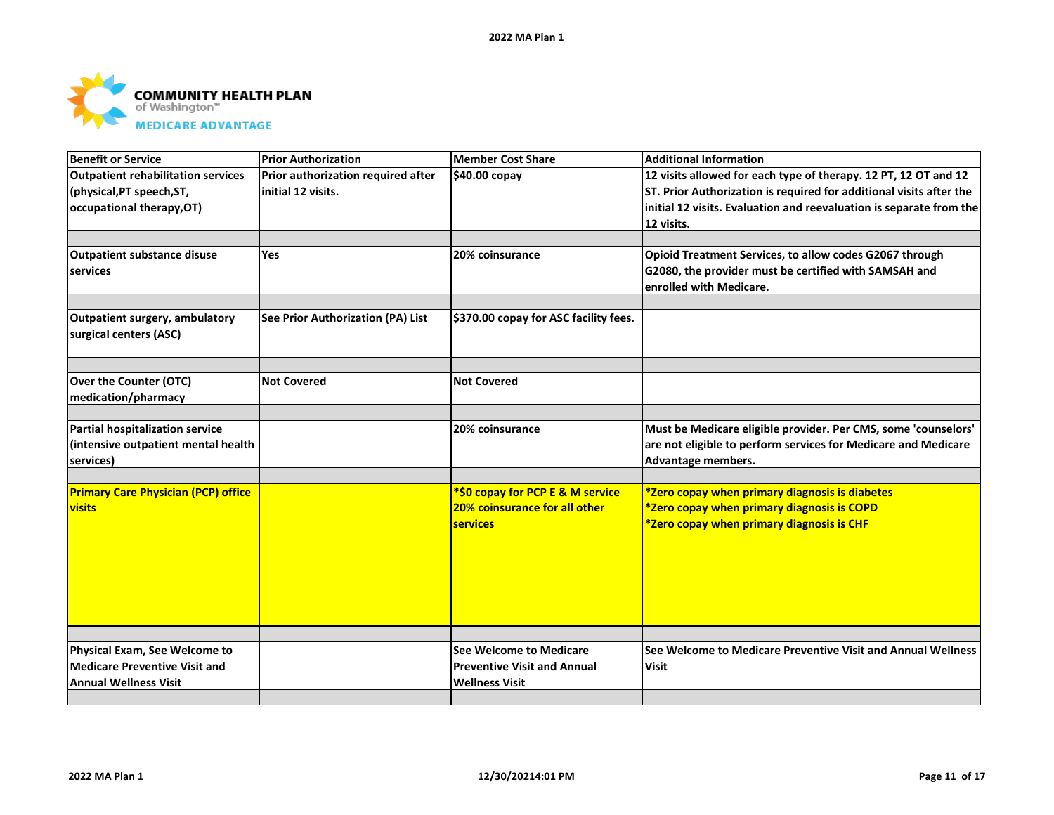

| Benefit or Service                                             | <b>Prior Authorization</b>         | <b>Member Cost Share</b>              | <b>Additional Information</b>                                       |
|----------------------------------------------------------------|------------------------------------|---------------------------------------|---------------------------------------------------------------------|
| Outpatient rehabilitation services                             | Prior authorization required after | \$40.00 copay                         | 12 visits allowed for each type of therapy. 12 PT, 12 OT and 12     |
| (physical, PT speech, ST,                                      | initial 12 visits.                 |                                       | ST. Prior Authorization is required for additional visits after the |
| occupational therapy, OT)                                      |                                    |                                       | initial 12 visits. Evaluation and reevaluation is separate from the |
|                                                                |                                    |                                       | 12 visits.                                                          |
|                                                                |                                    |                                       |                                                                     |
| <b>Outpatient substance disuse</b>                             | <b>Yes</b>                         | 20% coinsurance                       | Opioid Treatment Services, to allow codes G2067 through             |
| services                                                       |                                    |                                       | G2080, the provider must be certified with SAMSAH and               |
|                                                                |                                    |                                       | enrolled with Medicare.                                             |
|                                                                |                                    |                                       |                                                                     |
| <b>Outpatient surgery, ambulatory</b>                          | See Prior Authorization (PA) List  | \$370.00 copay for ASC facility fees. |                                                                     |
| surgical centers (ASC)                                         |                                    |                                       |                                                                     |
|                                                                |                                    |                                       |                                                                     |
|                                                                |                                    |                                       |                                                                     |
| Over the Counter (OTC)                                         | <b>Not Covered</b>                 | <b>Not Covered</b>                    |                                                                     |
| medication/pharmacy                                            |                                    |                                       |                                                                     |
|                                                                |                                    |                                       |                                                                     |
| <b>Partial hospitalization service</b>                         |                                    | 20% coinsurance                       | Must be Medicare eligible provider. Per CMS, some 'counselors'      |
| (intensive outpatient mental health                            |                                    |                                       | are not eligible to perform services for Medicare and Medicare      |
| services)                                                      |                                    |                                       | Advantage members.                                                  |
|                                                                |                                    |                                       |                                                                     |
| <b>Primary Care Physician (PCP) office</b>                     |                                    | *\$0 copay for PCP E & M service      | *Zero copay when primary diagnosis is diabetes                      |
| <b>visits</b>                                                  |                                    | 20% coinsurance for all other         | *Zero copay when primary diagnosis is COPD                          |
|                                                                |                                    | <b>services</b>                       | *Zero copay when primary diagnosis is CHF                           |
|                                                                |                                    |                                       |                                                                     |
|                                                                |                                    |                                       |                                                                     |
|                                                                |                                    |                                       |                                                                     |
|                                                                |                                    |                                       |                                                                     |
|                                                                |                                    |                                       |                                                                     |
|                                                                |                                    |                                       |                                                                     |
|                                                                |                                    | <b>See Welcome to Medicare</b>        | See Welcome to Medicare Preventive Visit and Annual Wellness        |
| Physical Exam, See Welcome to<br>Medicare Preventive Visit and |                                    |                                       |                                                                     |
|                                                                |                                    | <b>Preventive Visit and Annual</b>    | <b>Visit</b>                                                        |
| <b>Annual Wellness Visit</b>                                   |                                    | <b>Wellness Visit</b>                 |                                                                     |
|                                                                |                                    |                                       |                                                                     |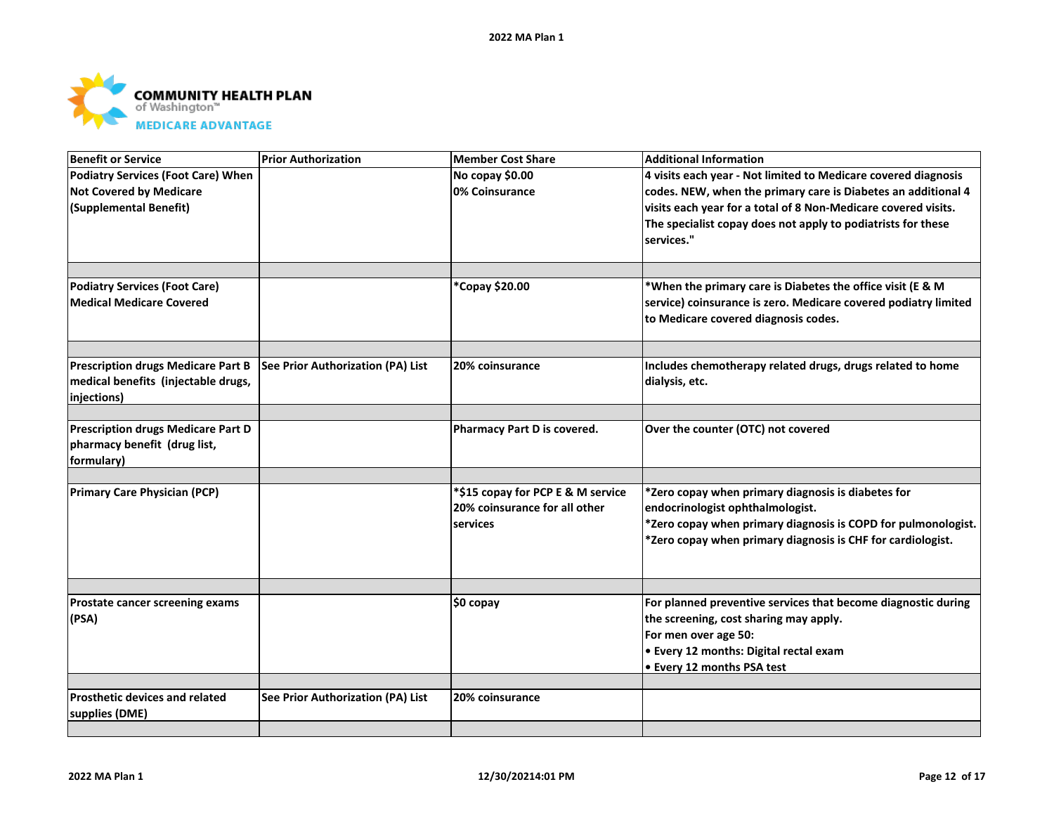

| <b>Benefit or Service</b>                 | <b>Prior Authorization</b>        | <b>Member Cost Share</b>          | <b>Additional Information</b>                                    |
|-------------------------------------------|-----------------------------------|-----------------------------------|------------------------------------------------------------------|
| <b>Podiatry Services (Foot Care) When</b> |                                   | No copay \$0.00                   | 4 visits each year - Not limited to Medicare covered diagnosis   |
| <b>Not Covered by Medicare</b>            |                                   | 0% Coinsurance                    | codes. NEW, when the primary care is Diabetes an additional 4    |
| (Supplemental Benefit)                    |                                   |                                   | visits each year for a total of 8 Non-Medicare covered visits.   |
|                                           |                                   |                                   | The specialist copay does not apply to podiatrists for these     |
|                                           |                                   |                                   | services."                                                       |
|                                           |                                   |                                   |                                                                  |
|                                           |                                   |                                   |                                                                  |
| <b>Podiatry Services (Foot Care)</b>      |                                   | *Copay \$20.00                    | *When the primary care is Diabetes the office visit (E & M       |
| <b>Medical Medicare Covered</b>           |                                   |                                   | service) coinsurance is zero. Medicare covered podiatry limited  |
|                                           |                                   |                                   | to Medicare covered diagnosis codes.                             |
|                                           |                                   |                                   |                                                                  |
|                                           |                                   |                                   |                                                                  |
| <b>Prescription drugs Medicare Part B</b> | See Prior Authorization (PA) List | 20% coinsurance                   | Includes chemotherapy related drugs, drugs related to home       |
| medical benefits (injectable drugs,       |                                   |                                   | dialysis, etc.                                                   |
| injections)                               |                                   |                                   |                                                                  |
|                                           |                                   |                                   |                                                                  |
| <b>Prescription drugs Medicare Part D</b> |                                   | Pharmacy Part D is covered.       | Over the counter (OTC) not covered                               |
| pharmacy benefit (drug list,              |                                   |                                   |                                                                  |
| formulary)                                |                                   |                                   |                                                                  |
|                                           |                                   |                                   |                                                                  |
| <b>Primary Care Physician (PCP)</b>       |                                   | *\$15 copay for PCP E & M service | *Zero copay when primary diagnosis is diabetes for               |
|                                           |                                   | 20% coinsurance for all other     | endocrinologist ophthalmologist.                                 |
|                                           |                                   | services                          | $*$ Zero copay when primary diagnosis is COPD for pulmonologist. |
|                                           |                                   |                                   | *Zero copay when primary diagnosis is CHF for cardiologist.      |
|                                           |                                   |                                   |                                                                  |
|                                           |                                   |                                   |                                                                  |
|                                           |                                   |                                   | For planned preventive services that become diagnostic during    |
| Prostate cancer screening exams           |                                   | $$0$ copay                        |                                                                  |
| (PSA)                                     |                                   |                                   | the screening, cost sharing may apply.                           |
|                                           |                                   |                                   | For men over age 50:                                             |
|                                           |                                   |                                   | <b>.</b> Every 12 months: Digital rectal exam                    |
|                                           |                                   |                                   | <b>• Every 12 months PSA test</b>                                |
| <b>Prosthetic devices and related</b>     |                                   | 20% coinsurance                   |                                                                  |
|                                           | See Prior Authorization (PA) List |                                   |                                                                  |
| supplies (DME)                            |                                   |                                   |                                                                  |
|                                           |                                   |                                   |                                                                  |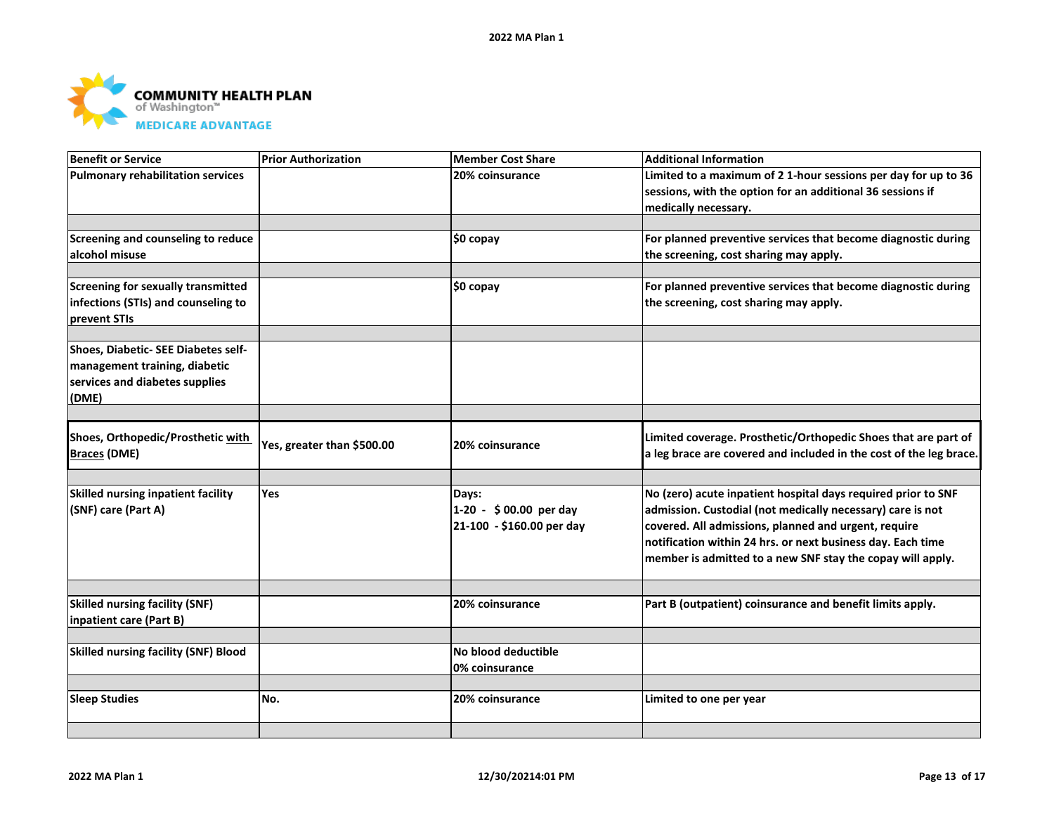

| <b>Benefit or Service</b>                   | <b>Prior Authorization</b> | <b>Member Cost Share</b>  | <b>Additional Information</b>                                      |
|---------------------------------------------|----------------------------|---------------------------|--------------------------------------------------------------------|
| <b>Pulmonary rehabilitation services</b>    |                            | 20% coinsurance           | Limited to a maximum of 2 1-hour sessions per day for up to 36     |
|                                             |                            |                           | sessions, with the option for an additional 36 sessions if         |
|                                             |                            |                           | medically necessary.                                               |
|                                             |                            |                           |                                                                    |
| Screening and counseling to reduce          |                            | $$0$ copay                | For planned preventive services that become diagnostic during      |
| alcohol misuse                              |                            |                           | the screening, cost sharing may apply.                             |
|                                             |                            |                           |                                                                    |
| <b>Screening for sexually transmitted</b>   |                            | \$0 copay                 | For planned preventive services that become diagnostic during      |
| infections (STIs) and counseling to         |                            |                           | the screening, cost sharing may apply.                             |
| prevent STIs                                |                            |                           |                                                                    |
|                                             |                            |                           |                                                                    |
| Shoes, Diabetic- SEE Diabetes self-         |                            |                           |                                                                    |
| management training, diabetic               |                            |                           |                                                                    |
| services and diabetes supplies              |                            |                           |                                                                    |
| (DME)                                       |                            |                           |                                                                    |
|                                             |                            |                           |                                                                    |
| Shoes, Orthopedic/Prosthetic with           |                            |                           | Limited coverage. Prosthetic/Orthopedic Shoes that are part of     |
| <b>Braces (DME)</b>                         | Yes, greater than \$500.00 | 20% coinsurance           | a leg brace are covered and included in the cost of the leg brace. |
|                                             |                            |                           |                                                                    |
|                                             |                            |                           |                                                                    |
| Skilled nursing inpatient facility          | Yes                        | Days:                     | No (zero) acute inpatient hospital days required prior to SNF      |
| (SNF) care (Part A)                         |                            | 1-20 - \$00.00 per day    | admission. Custodial (not medically necessary) care is not         |
|                                             |                            | 21-100 - \$160.00 per day | covered. All admissions, planned and urgent, require               |
|                                             |                            |                           | notification within 24 hrs. or next business day. Each time        |
|                                             |                            |                           | member is admitted to a new SNF stay the copay will apply.         |
|                                             |                            |                           |                                                                    |
|                                             |                            |                           |                                                                    |
| <b>Skilled nursing facility (SNF)</b>       |                            | 20% coinsurance           | Part B (outpatient) coinsurance and benefit limits apply.          |
| inpatient care (Part B)                     |                            |                           |                                                                    |
| <b>Skilled nursing facility (SNF) Blood</b> |                            | No blood deductible       |                                                                    |
|                                             |                            |                           |                                                                    |
|                                             |                            | 0% coinsurance            |                                                                    |
| <b>Sleep Studies</b>                        | No.                        | 20% coinsurance           | Limited to one per year                                            |
|                                             |                            |                           |                                                                    |
|                                             |                            |                           |                                                                    |
|                                             |                            |                           |                                                                    |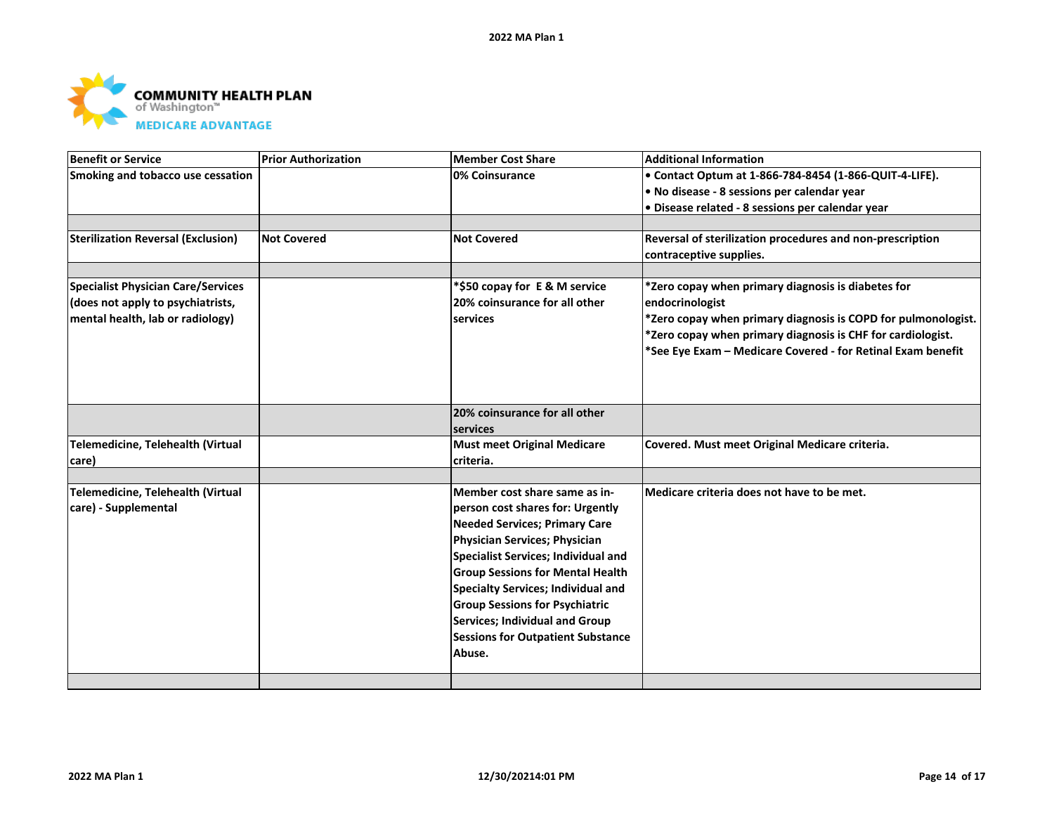

| <b>Benefit or Service</b>                 | <b>Prior Authorization</b> | <b>Member Cost Share</b>                   | <b>Additional Information</b>                                 |
|-------------------------------------------|----------------------------|--------------------------------------------|---------------------------------------------------------------|
| Smoking and tobacco use cessation         |                            | 0% Coinsurance                             | • Contact Optum at 1-866-784-8454 (1-866-QUIT-4-LIFE).        |
|                                           |                            |                                            | • No disease - 8 sessions per calendar year                   |
|                                           |                            |                                            | · Disease related - 8 sessions per calendar year              |
|                                           |                            |                                            |                                                               |
| <b>Sterilization Reversal (Exclusion)</b> | <b>Not Covered</b>         | <b>Not Covered</b>                         | Reversal of sterilization procedures and non-prescription     |
|                                           |                            |                                            | contraceptive supplies.                                       |
|                                           |                            |                                            |                                                               |
| <b>Specialist Physician Care/Services</b> |                            | *\$50 copay for E & M service              | *Zero copay when primary diagnosis is diabetes for            |
| (does not apply to psychiatrists,         |                            | 20% coinsurance for all other              | endocrinologist                                               |
| mental health, lab or radiology)          |                            | services                                   | *Zero copay when primary diagnosis is COPD for pulmonologist. |
|                                           |                            |                                            | *Zero copay when primary diagnosis is CHF for cardiologist.   |
|                                           |                            |                                            | *See Eye Exam - Medicare Covered - for Retinal Exam benefit   |
|                                           |                            |                                            |                                                               |
|                                           |                            |                                            |                                                               |
|                                           |                            | 20% coinsurance for all other              |                                                               |
|                                           |                            | services                                   |                                                               |
| Telemedicine, Telehealth (Virtual         |                            | <b>Must meet Original Medicare</b>         | Covered. Must meet Original Medicare criteria.                |
| care)                                     |                            | criteria.                                  |                                                               |
|                                           |                            |                                            |                                                               |
| Telemedicine, Telehealth (Virtual         |                            | Member cost share same as in-              | Medicare criteria does not have to be met.                    |
| care) - Supplemental                      |                            | person cost shares for: Urgently           |                                                               |
|                                           |                            | <b>Needed Services; Primary Care</b>       |                                                               |
|                                           |                            | Physician Services; Physician              |                                                               |
|                                           |                            | <b>Specialist Services; Individual and</b> |                                                               |
|                                           |                            | <b>Group Sessions for Mental Health</b>    |                                                               |
|                                           |                            | <b>Specialty Services; Individual and</b>  |                                                               |
|                                           |                            | <b>Group Sessions for Psychiatric</b>      |                                                               |
|                                           |                            | <b>Services; Individual and Group</b>      |                                                               |
|                                           |                            | <b>Sessions for Outpatient Substance</b>   |                                                               |
|                                           |                            | Abuse.                                     |                                                               |
|                                           |                            |                                            |                                                               |
|                                           |                            |                                            |                                                               |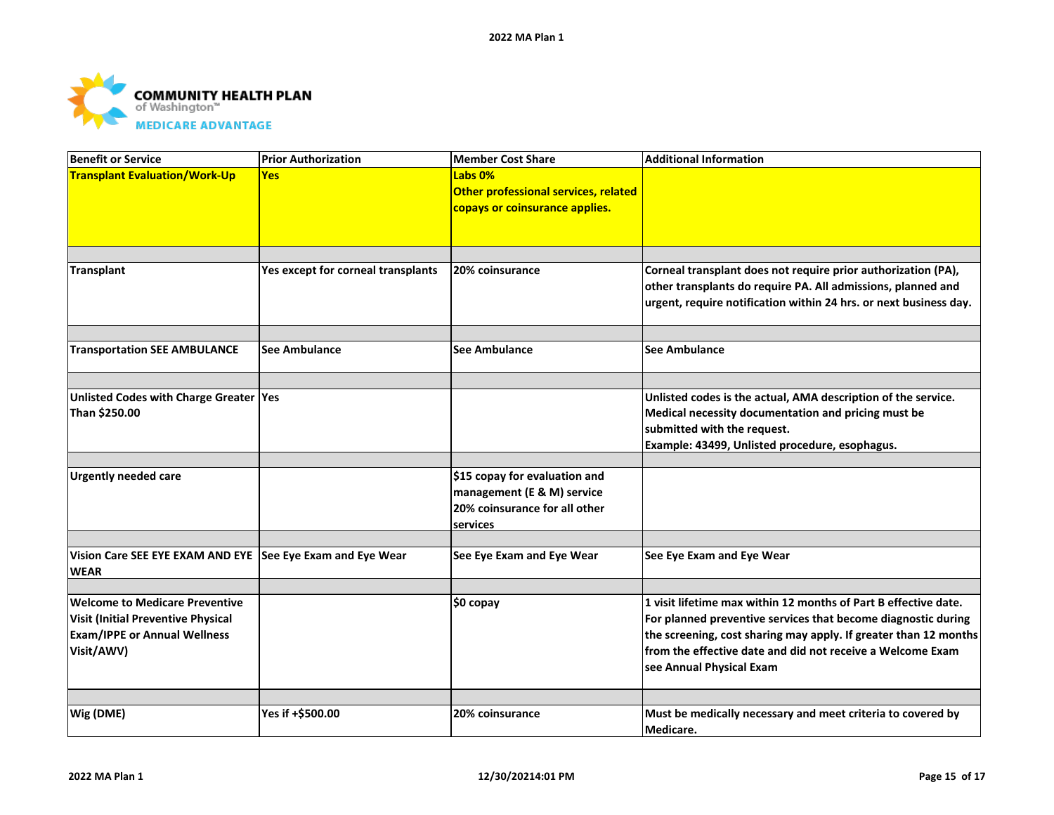

| <b>Benefit or Service</b>                                                                                                               | <b>Prior Authorization</b>         | <b>Member Cost Share</b>                                                          | <b>Additional Information</b>                                                                                                                                                                                                                                                                  |
|-----------------------------------------------------------------------------------------------------------------------------------------|------------------------------------|-----------------------------------------------------------------------------------|------------------------------------------------------------------------------------------------------------------------------------------------------------------------------------------------------------------------------------------------------------------------------------------------|
| <b>Transplant Evaluation/Work-Up</b>                                                                                                    | <b>Yes</b>                         | Labs 0%<br>Other professional services, related<br>copays or coinsurance applies. |                                                                                                                                                                                                                                                                                                |
|                                                                                                                                         |                                    |                                                                                   |                                                                                                                                                                                                                                                                                                |
| <b>Transplant</b>                                                                                                                       | Yes except for corneal transplants | 20% coinsurance                                                                   | Corneal transplant does not require prior authorization (PA),<br>other transplants do require PA. All admissions, planned and<br>urgent, require notification within 24 hrs. or next business day.                                                                                             |
|                                                                                                                                         |                                    |                                                                                   |                                                                                                                                                                                                                                                                                                |
| <b>Transportation SEE AMBULANCE</b>                                                                                                     | See Ambulance                      | <b>See Ambulance</b>                                                              | <b>See Ambulance</b>                                                                                                                                                                                                                                                                           |
|                                                                                                                                         |                                    |                                                                                   |                                                                                                                                                                                                                                                                                                |
| Unlisted Codes with Charge Greater   Yes<br>Than \$250.00                                                                               |                                    |                                                                                   | Unlisted codes is the actual, AMA description of the service.<br>Medical necessity documentation and pricing must be<br>submitted with the request.<br>Example: 43499, Unlisted procedure, esophagus.                                                                                          |
| <b>Urgently needed care</b>                                                                                                             |                                    | \$15 copay for evaluation and                                                     |                                                                                                                                                                                                                                                                                                |
|                                                                                                                                         |                                    | management (E & M) service<br>20% coinsurance for all other<br>services           |                                                                                                                                                                                                                                                                                                |
|                                                                                                                                         |                                    |                                                                                   |                                                                                                                                                                                                                                                                                                |
| Vision Care SEE EYE EXAM AND EYE See Eye Exam and Eye Wear<br><b>WEAR</b>                                                               |                                    | See Eye Exam and Eye Wear                                                         | See Eye Exam and Eye Wear                                                                                                                                                                                                                                                                      |
|                                                                                                                                         |                                    |                                                                                   |                                                                                                                                                                                                                                                                                                |
| <b>Welcome to Medicare Preventive</b><br><b>Visit (Initial Preventive Physical</b><br><b>Exam/IPPE or Annual Wellness</b><br>Visit/AWV) |                                    | \$0 copay                                                                         | 1 visit lifetime max within 12 months of Part B effective date.<br>For planned preventive services that become diagnostic during<br>the screening, cost sharing may apply. If greater than 12 months<br>from the effective date and did not receive a Welcome Exam<br>see Annual Physical Exam |
|                                                                                                                                         |                                    |                                                                                   |                                                                                                                                                                                                                                                                                                |
| Wig (DME)                                                                                                                               | Yes if +\$500.00                   | 20% coinsurance                                                                   | Must be medically necessary and meet criteria to covered by<br>Medicare.                                                                                                                                                                                                                       |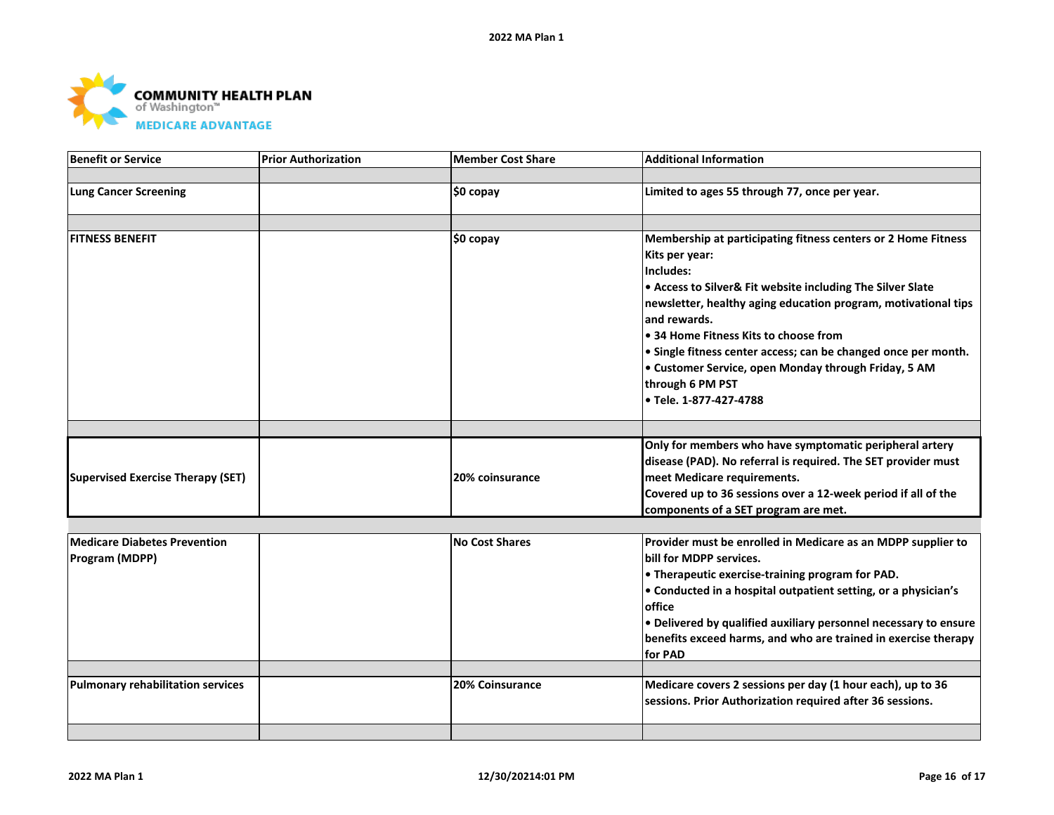

| <b>Benefit or Service</b>                | <b>Prior Authorization</b> | Member Cost Share     | <b>Additional Information</b>                                    |
|------------------------------------------|----------------------------|-----------------------|------------------------------------------------------------------|
|                                          |                            |                       |                                                                  |
| <b>Lung Cancer Screening</b>             |                            | \$0 copay             | Limited to ages 55 through 77, once per year.                    |
|                                          |                            |                       |                                                                  |
| <b>FITNESS BENEFIT</b>                   |                            | \$0 copay             | Membership at participating fitness centers or 2 Home Fitness    |
|                                          |                            |                       | Kits per year:                                                   |
|                                          |                            |                       | Includes:                                                        |
|                                          |                            |                       | • Access to Silver& Fit website including The Silver Slate       |
|                                          |                            |                       | newsletter, healthy aging education program, motivational tips   |
|                                          |                            |                       | and rewards.                                                     |
|                                          |                            |                       | • 34 Home Fitness Kits to choose from                            |
|                                          |                            |                       | • Single fitness center access; can be changed once per month.   |
|                                          |                            |                       | • Customer Service, open Monday through Friday, 5 AM             |
|                                          |                            |                       | through 6 PM PST                                                 |
|                                          |                            |                       | • Tele. 1-877-427-4788                                           |
|                                          |                            |                       |                                                                  |
|                                          |                            |                       | Only for members who have symptomatic peripheral artery          |
|                                          |                            |                       | disease (PAD). No referral is required. The SET provider must    |
| <b>Supervised Exercise Therapy (SET)</b> |                            | 20% coinsurance       | meet Medicare requirements.                                      |
|                                          |                            |                       | Covered up to 36 sessions over a 12-week period if all of the    |
|                                          |                            |                       | components of a SET program are met.                             |
|                                          |                            |                       |                                                                  |
| <b>Medicare Diabetes Prevention</b>      |                            | <b>No Cost Shares</b> | Provider must be enrolled in Medicare as an MDPP supplier to     |
| Program (MDPP)                           |                            |                       | bill for MDPP services.                                          |
|                                          |                            |                       | • Therapeutic exercise-training program for PAD.                 |
|                                          |                            |                       | • Conducted in a hospital outpatient setting, or a physician's   |
|                                          |                            |                       | office                                                           |
|                                          |                            |                       | . Delivered by qualified auxiliary personnel necessary to ensure |
|                                          |                            |                       | benefits exceed harms, and who are trained in exercise therapy   |
|                                          |                            |                       | for PAD                                                          |
| <b>Pulmonary rehabilitation services</b> |                            | 20% Coinsurance       | Medicare covers 2 sessions per day (1 hour each), up to 36       |
|                                          |                            |                       | sessions. Prior Authorization required after 36 sessions.        |
|                                          |                            |                       |                                                                  |